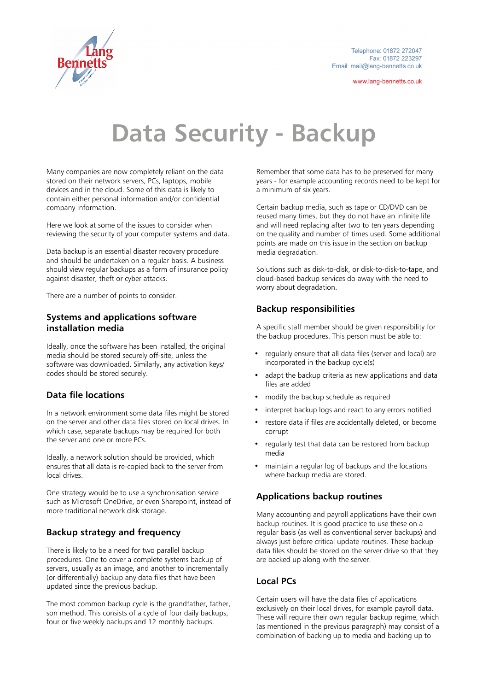

www.lang-bennetts.co.uk

# **Data Security - Backup**

Many companies are now completely reliant on the data stored on their network servers, PCs, laptops, mobile devices and in the cloud. Some of this data is likely to contain either personal information and/or confidential company information.

Here we look at some of the issues to consider when reviewing the security of your computer systems and data.

Data backup is an essential disaster recovery procedure and should be undertaken on a regular basis. A business should view regular backups as a form of insurance policy against disaster, theft or cyber attacks.

There are a number of points to consider.

#### **Systems and applications software installation media**

Ideally, once the software has been installed, the original media should be stored securely off-site, unless the software was downloaded. Similarly, any activation keys/ codes should be stored securely.

#### **Data file locations**

In a network environment some data files might be stored on the server and other data files stored on local drives. In which case, separate backups may be required for both the server and one or more PCs.

Ideally, a network solution should be provided, which ensures that all data is re-copied back to the server from local drives.

One strategy would be to use a synchronisation service such as Microsoft OneDrive, or even Sharepoint, instead of more traditional network disk storage.

#### **Backup strategy and frequency**

There is likely to be a need for two parallel backup procedures. One to cover a complete systems backup of servers, usually as an image, and another to incrementally (or differentially) backup any data files that have been updated since the previous backup.

The most common backup cycle is the grandfather, father, son method. This consists of a cycle of four daily backups, four or five weekly backups and 12 monthly backups.

Remember that some data has to be preserved for many years - for example accounting records need to be kept for a minimum of six years.

Certain backup media, such as tape or CD/DVD can be reused many times, but they do not have an infinite life and will need replacing after two to ten years depending on the quality and number of times used. Some additional points are made on this issue in the section on backup media degradation.

Solutions such as disk-to-disk, or disk-to-disk-to-tape, and cloud-based backup services do away with the need to worry about degradation.

#### **Backup responsibilities**

A specific staff member should be given responsibility for the backup procedures. This person must be able to:

- regularly ensure that all data files (server and local) are incorporated in the backup cycle(s)
- adapt the backup criteria as new applications and data files are added
- modify the backup schedule as required
- interpret backup logs and react to any errors notified
- restore data if files are accidentally deleted, or become corrupt
- regularly test that data can be restored from backup media
- maintain a regular log of backups and the locations where backup media are stored.

#### **Applications backup routines**

Many accounting and payroll applications have their own backup routines. It is good practice to use these on a regular basis (as well as conventional server backups) and always just before critical update routines. These backup data files should be stored on the server drive so that they are backed up along with the server.

## **Local PCs**

Certain users will have the data files of applications exclusively on their local drives, for example payroll data. These will require their own reqular backup regime, which (as mentioned in the previous paragraph) may consist of a combination of backing up to media and backing up to